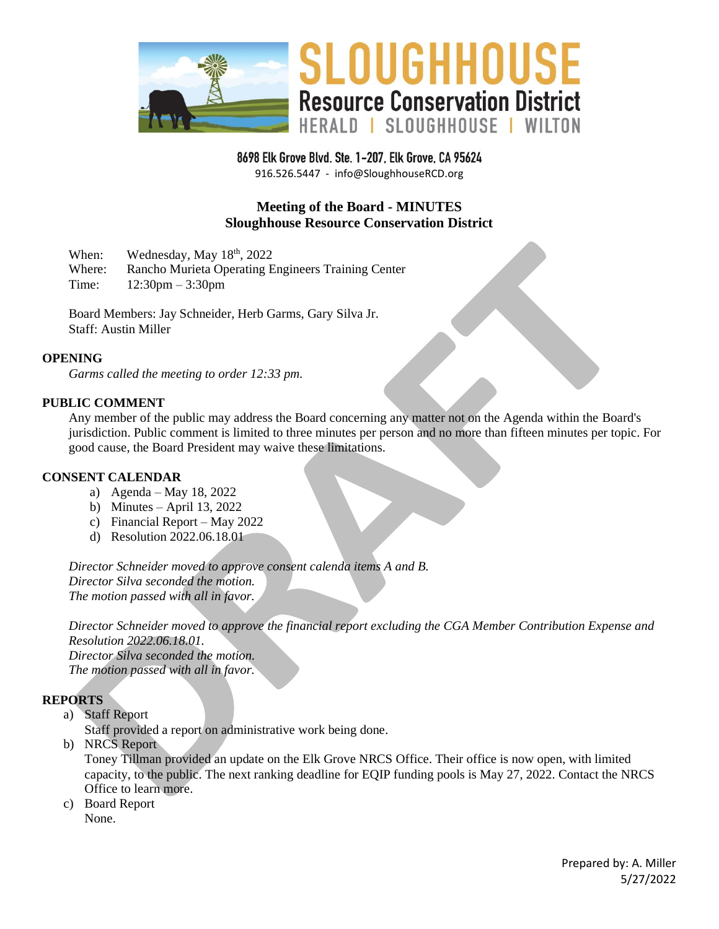

8698 Elk Grove Blvd. Ste. 1-207, Elk Grove, CA 95624

916.526.5447 - info@SloughhouseRCD.org

# **Meeting of the Board - MINUTES Sloughhouse Resource Conservation District**

When: Wednesday, May 18<sup>th</sup>, 2022

Where: Rancho Murieta Operating Engineers Training Center

Time: 12:30pm – 3:30pm

Board Members: Jay Schneider, Herb Garms, Gary Silva Jr. Staff: Austin Miller

### **OPENING**

*Garms called the meeting to order 12:33 pm.*

#### **PUBLIC COMMENT**

Any member of the public may address the Board concerning any matter not on the Agenda within the Board's jurisdiction. Public comment is limited to three minutes per person and no more than fifteen minutes per topic. For good cause, the Board President may waive these limitations.

#### **CONSENT CALENDAR**

- a) Agenda May 18, 2022
- b) Minutes April 13, 2022
- c) Financial Report May 2022
- d) Resolution 2022.06.18.01

*Director Schneider moved to approve consent calenda items A and B. Director Silva seconded the motion. The motion passed with all in favor.*

*Director Schneider moved to approve the financial report excluding the CGA Member Contribution Expense and Resolution 2022.06.18.01. Director Silva seconded the motion. The motion passed with all in favor.*

### **REPORTS**

a) Staff Report

Staff provided a report on administrative work being done.

b) NRCS Report

Toney Tillman provided an update on the Elk Grove NRCS Office. Their office is now open, with limited capacity, to the public. The next ranking deadline for EQIP funding pools is May 27, 2022. Contact the NRCS Office to learn more.

c) Board Report None.